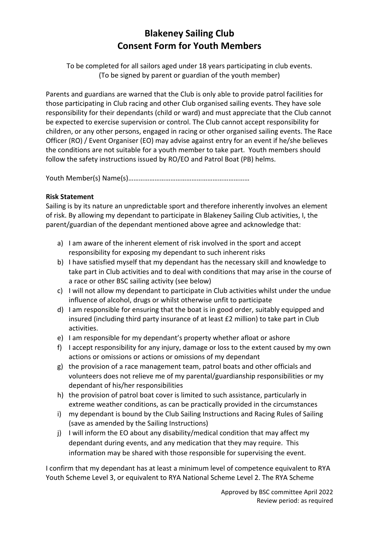## **Blakeney Sailing Club Consent Form for Youth Members**

To be completed for all sailors aged under 18 years participating in club events. (To be signed by parent or guardian of the youth member)

Parents and guardians are warned that the Club is only able to provide patrol facilities for those participating in Club racing and other Club organised sailing events. They have sole responsibility for their dependants (child or ward) and must appreciate that the Club cannot be expected to exercise supervision or control. The Club cannot accept responsibility for children, or any other persons, engaged in racing or other organised sailing events. The Race Officer (RO) / Event Organiser (EO) may advise against entry for an event if he/she believes the conditions are not suitable for a youth member to take part. Youth members should follow the safety instructions issued by RO/EO and Patrol Boat (PB) helms.

Youth Member(s) Name(s)……………………………………………………………

## **Risk Statement**

Sailing is by its nature an unpredictable sport and therefore inherently involves an element of risk. By allowing my dependant to participate in Blakeney Sailing Club activities, I, the parent/guardian of the dependant mentioned above agree and acknowledge that:

- a) I am aware of the inherent element of risk involved in the sport and accept responsibility for exposing my dependant to such inherent risks
- b) I have satisfied myself that my dependant has the necessary skill and knowledge to take part in Club activities and to deal with conditions that may arise in the course of a race or other BSC sailing activity (see below)
- c) I will not allow my dependant to participate in Club activities whilst under the undue influence of alcohol, drugs or whilst otherwise unfit to participate
- d) I am responsible for ensuring that the boat is in good order, suitably equipped and insured (including third party insurance of at least £2 million) to take part in Club activities.
- e) I am responsible for my dependant's property whether afloat or ashore
- f) I accept responsibility for any injury, damage or loss to the extent caused by my own actions or omissions or actions or omissions of my dependant
- g) the provision of a race management team, patrol boats and other officials and volunteers does not relieve me of my parental/guardianship responsibilities or my dependant of his/her responsibilities
- h) the provision of patrol boat cover is limited to such assistance, particularly in extreme weather conditions, as can be practically provided in the circumstances
- i) my dependant is bound by the Club Sailing Instructions and Racing Rules of Sailing (save as amended by the Sailing Instructions)
- j) I will inform the EO about any disability/medical condition that may affect my dependant during events, and any medication that they may require. This information may be shared with those responsible for supervising the event.

I confirm that my dependant has at least a minimum level of competence equivalent to RYA Youth Scheme Level 3, or equivalent to RYA National Scheme Level 2. The RYA Scheme